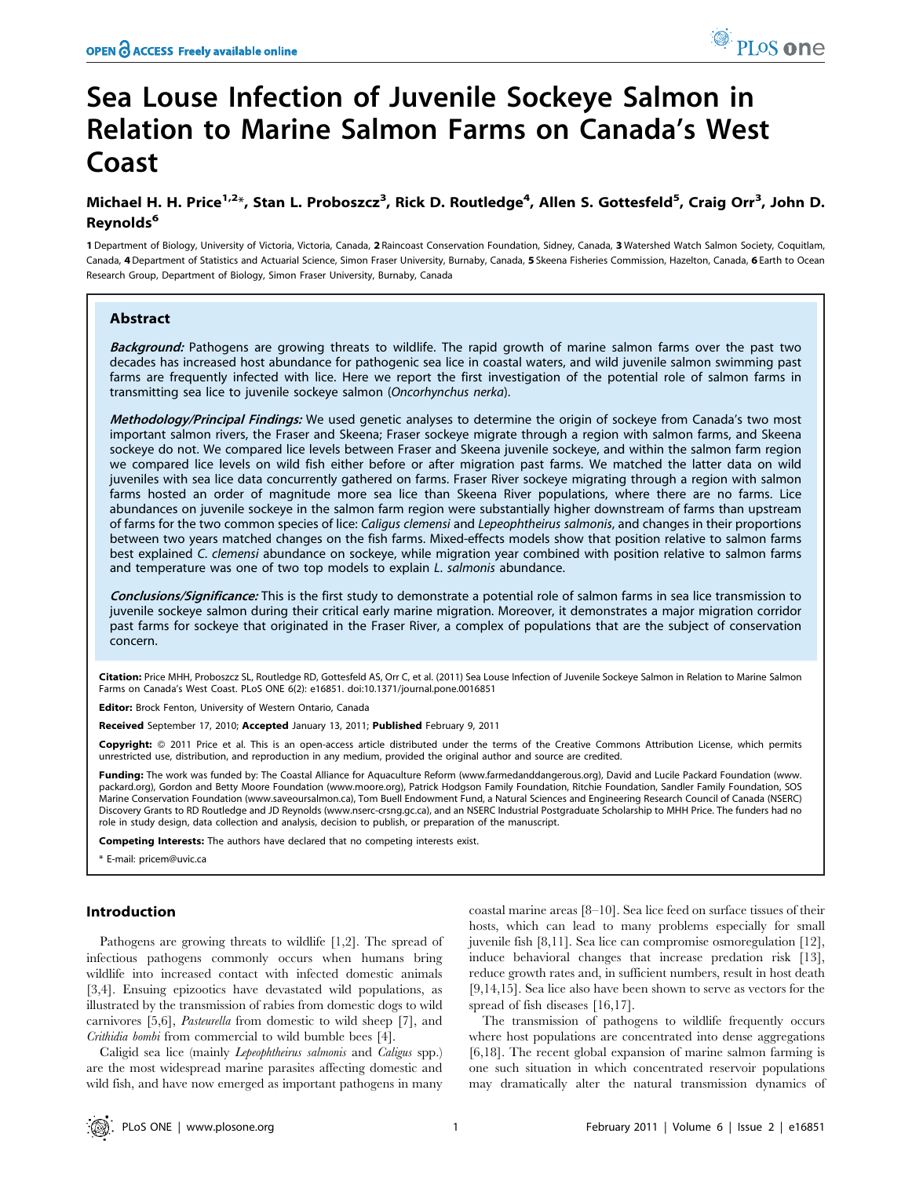# Sea Louse Infection of Juvenile Sockeye Salmon in Relation to Marine Salmon Farms on Canada's West Coast

# Michael H. H. Price<sup>1,2</sup>\*, Stan L. Proboszcz<sup>3</sup>, Rick D. Routledge<sup>4</sup>, Allen S. Gottesfeld<sup>5</sup>, Craig Orr<sup>3</sup>, John D. Reynolds<sup>6</sup>

1 Department of Biology, University of Victoria, Victoria, Canada, 2 Raincoast Conservation Foundation, Sidney, Canada, 3 Watershed Watch Salmon Society, Coquitlam, Canada, 4 Department of Statistics and Actuarial Science, Simon Fraser University, Burnaby, Canada, 5 Skeena Fisheries Commission, Hazelton, Canada, 6 Earth to Ocean Research Group, Department of Biology, Simon Fraser University, Burnaby, Canada

# Abstract

Background: Pathogens are growing threats to wildlife. The rapid growth of marine salmon farms over the past two decades has increased host abundance for pathogenic sea lice in coastal waters, and wild juvenile salmon swimming past farms are frequently infected with lice. Here we report the first investigation of the potential role of salmon farms in transmitting sea lice to juvenile sockeye salmon (Oncorhynchus nerka).

Methodology/Principal Findings: We used genetic analyses to determine the origin of sockeye from Canada's two most important salmon rivers, the Fraser and Skeena; Fraser sockeye migrate through a region with salmon farms, and Skeena sockeye do not. We compared lice levels between Fraser and Skeena juvenile sockeye, and within the salmon farm region we compared lice levels on wild fish either before or after migration past farms. We matched the latter data on wild juveniles with sea lice data concurrently gathered on farms. Fraser River sockeye migrating through a region with salmon farms hosted an order of magnitude more sea lice than Skeena River populations, where there are no farms. Lice abundances on juvenile sockeye in the salmon farm region were substantially higher downstream of farms than upstream of farms for the two common species of lice: Caligus clemensi and Lepeophtheirus salmonis, and changes in their proportions between two years matched changes on the fish farms. Mixed-effects models show that position relative to salmon farms best explained C. clemensi abundance on sockeye, while migration year combined with position relative to salmon farms and temperature was one of two top models to explain L. salmonis abundance.

Conclusions/Significance: This is the first study to demonstrate a potential role of salmon farms in sea lice transmission to juvenile sockeye salmon during their critical early marine migration. Moreover, it demonstrates a major migration corridor past farms for sockeye that originated in the Fraser River, a complex of populations that are the subject of conservation concern.

Citation: Price MHH, Proboszcz SL, Routledge RD, Gottesfeld AS, Orr C, et al. (2011) Sea Louse Infection of Juvenile Sockeye Salmon in Relation to Marine Salmon Farms on Canada's West Coast. PLoS ONE 6(2): e16851. doi:10.1371/journal.pone.0016851

Editor: Brock Fenton, University of Western Ontario, Canada

Received September 17, 2010; Accepted January 13, 2011; Published February 9, 2011

Copyright: @ 2011 Price et al. This is an open-access article distributed under the terms of the Creative Commons Attribution License, which permits unrestricted use, distribution, and reproduction in any medium, provided the original author and source are credited.

Funding: The work was funded by: The Coastal Alliance for Aquaculture Reform (www.farmedanddangerous.org), David and Lucile Packard Foundation (www. packard.org), Gordon and Betty Moore Foundation (www.moore.org), Patrick Hodgson Family Foundation, Ritchie Foundation, Sandler Family Foundation, SOS Marine Conservation Foundation (www.saveoursalmon.ca), Tom Buell Endowment Fund, a Natural Sciences and Engineering Research Council of Canada (NSERC) Discovery Grants to RD Routledge and JD Reynolds (www.nserc-crsng.gc.ca), and an NSERC Industrial Postgraduate Scholarship to MHH Price. The funders had no role in study design, data collection and analysis, decision to publish, or preparation of the manuscript.

Competing Interests: The authors have declared that no competing interests exist.

\* E-mail: pricem@uvic.ca

# Introduction

Pathogens are growing threats to wildlife [1,2]. The spread of infectious pathogens commonly occurs when humans bring wildlife into increased contact with infected domestic animals [3,4]. Ensuing epizootics have devastated wild populations, as illustrated by the transmission of rabies from domestic dogs to wild carnivores [5,6], Pasteurella from domestic to wild sheep [7], and Crithidia bombi from commercial to wild bumble bees [4].

Caligid sea lice (mainly Lepeophtheirus salmonis and Caligus spp.) are the most widespread marine parasites affecting domestic and wild fish, and have now emerged as important pathogens in many coastal marine areas [8–10]. Sea lice feed on surface tissues of their hosts, which can lead to many problems especially for small juvenile fish [8,11]. Sea lice can compromise osmoregulation [12], induce behavioral changes that increase predation risk [13], reduce growth rates and, in sufficient numbers, result in host death [9,14,15]. Sea lice also have been shown to serve as vectors for the spread of fish diseases [16,17].

The transmission of pathogens to wildlife frequently occurs where host populations are concentrated into dense aggregations [6,18]. The recent global expansion of marine salmon farming is one such situation in which concentrated reservoir populations may dramatically alter the natural transmission dynamics of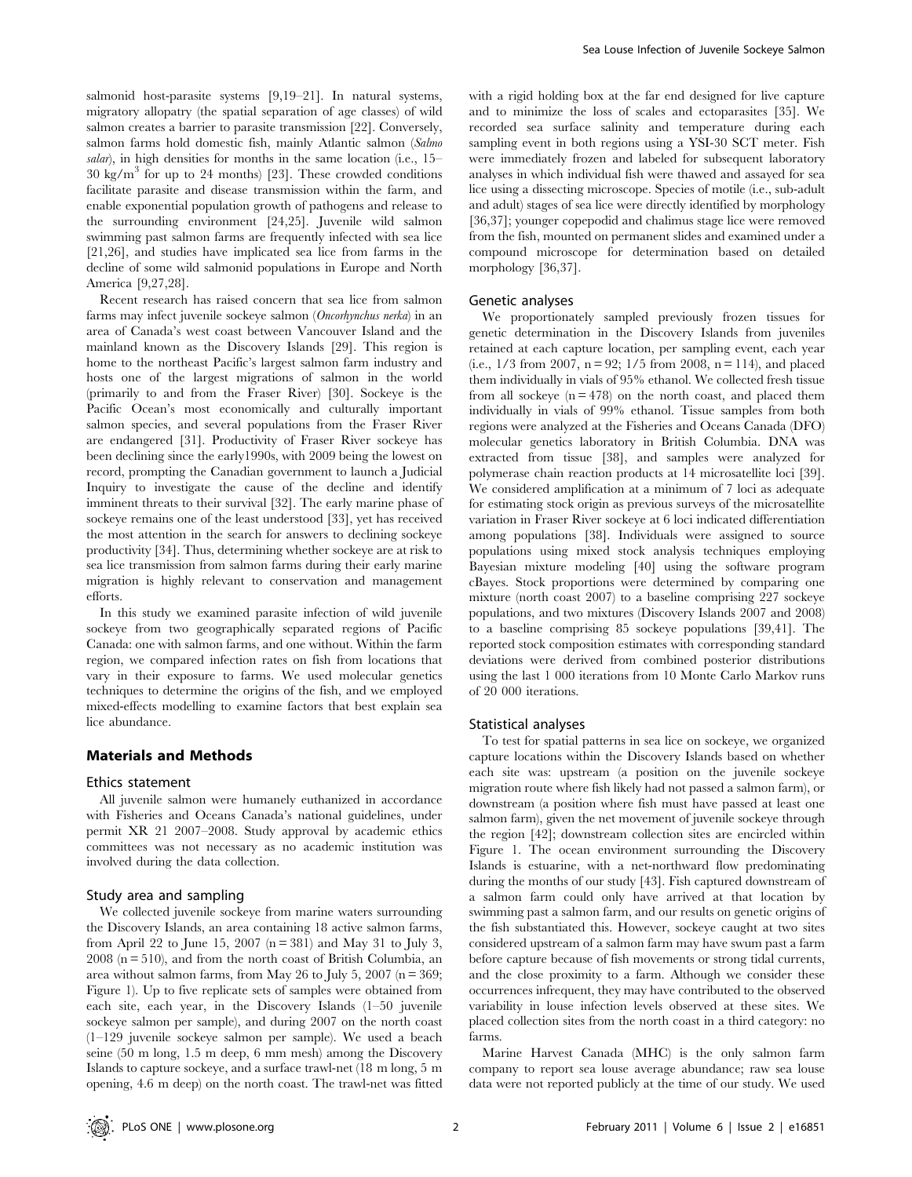salmonid host-parasite systems [9,19–21]. In natural systems, migratory allopatry (the spatial separation of age classes) of wild salmon creates a barrier to parasite transmission [22]. Conversely, salmon farms hold domestic fish, mainly Atlantic salmon (Salmo salar), in high densities for months in the same location (i.e., 15–  $30 \text{ kg/m}^3$  for up to 24 months) [23]. These crowded conditions facilitate parasite and disease transmission within the farm, and enable exponential population growth of pathogens and release to the surrounding environment [24,25]. Juvenile wild salmon swimming past salmon farms are frequently infected with sea lice [21,26], and studies have implicated sea lice from farms in the decline of some wild salmonid populations in Europe and North America [9,27,28].

Recent research has raised concern that sea lice from salmon farms may infect juvenile sockeye salmon (Oncorhynchus nerka) in an area of Canada's west coast between Vancouver Island and the mainland known as the Discovery Islands [29]. This region is home to the northeast Pacific's largest salmon farm industry and hosts one of the largest migrations of salmon in the world (primarily to and from the Fraser River) [30]. Sockeye is the Pacific Ocean's most economically and culturally important salmon species, and several populations from the Fraser River are endangered [31]. Productivity of Fraser River sockeye has been declining since the early1990s, with 2009 being the lowest on record, prompting the Canadian government to launch a Judicial Inquiry to investigate the cause of the decline and identify imminent threats to their survival [32]. The early marine phase of sockeye remains one of the least understood [33], yet has received the most attention in the search for answers to declining sockeye productivity [34]. Thus, determining whether sockeye are at risk to sea lice transmission from salmon farms during their early marine migration is highly relevant to conservation and management efforts.

In this study we examined parasite infection of wild juvenile sockeye from two geographically separated regions of Pacific Canada: one with salmon farms, and one without. Within the farm region, we compared infection rates on fish from locations that vary in their exposure to farms. We used molecular genetics techniques to determine the origins of the fish, and we employed mixed-effects modelling to examine factors that best explain sea lice abundance.

# Materials and Methods

#### Ethics statement

All juvenile salmon were humanely euthanized in accordance with Fisheries and Oceans Canada's national guidelines, under permit XR 21 2007–2008. Study approval by academic ethics committees was not necessary as no academic institution was involved during the data collection.

#### Study area and sampling

We collected juvenile sockeye from marine waters surrounding the Discovery Islands, an area containing 18 active salmon farms, from April 22 to June 15, 2007 ( $n = 381$ ) and May 31 to July 3,  $2008$  ( $n = 510$ ), and from the north coast of British Columbia, an area without salmon farms, from May 26 to July 5, 2007 ( $n = 369$ ; Figure 1). Up to five replicate sets of samples were obtained from each site, each year, in the Discovery Islands (1–50 juvenile sockeye salmon per sample), and during 2007 on the north coast (1–129 juvenile sockeye salmon per sample). We used a beach seine (50 m long, 1.5 m deep, 6 mm mesh) among the Discovery Islands to capture sockeye, and a surface trawl-net (18 m long, 5 m opening, 4.6 m deep) on the north coast. The trawl-net was fitted with a rigid holding box at the far end designed for live capture and to minimize the loss of scales and ectoparasites [35]. We recorded sea surface salinity and temperature during each sampling event in both regions using a YSI-30 SCT meter. Fish were immediately frozen and labeled for subsequent laboratory analyses in which individual fish were thawed and assayed for sea lice using a dissecting microscope. Species of motile (i.e., sub-adult and adult) stages of sea lice were directly identified by morphology [36,37]; younger copepodid and chalimus stage lice were removed from the fish, mounted on permanent slides and examined under a compound microscope for determination based on detailed morphology [36,37].

#### Genetic analyses

We proportionately sampled previously frozen tissues for genetic determination in the Discovery Islands from juveniles retained at each capture location, per sampling event, each year (i.e.,  $1/3$  from 2007,  $n = 92$ ;  $1/5$  from 2008,  $n = 114$ ), and placed them individually in vials of 95% ethanol. We collected fresh tissue from all sockeye  $(n = 478)$  on the north coast, and placed them individually in vials of 99% ethanol. Tissue samples from both regions were analyzed at the Fisheries and Oceans Canada (DFO) molecular genetics laboratory in British Columbia. DNA was extracted from tissue [38], and samples were analyzed for polymerase chain reaction products at 14 microsatellite loci [39]. We considered amplification at a minimum of 7 loci as adequate for estimating stock origin as previous surveys of the microsatellite variation in Fraser River sockeye at 6 loci indicated differentiation among populations [38]. Individuals were assigned to source populations using mixed stock analysis techniques employing Bayesian mixture modeling [40] using the software program cBayes. Stock proportions were determined by comparing one mixture (north coast 2007) to a baseline comprising 227 sockeye populations, and two mixtures (Discovery Islands 2007 and 2008) to a baseline comprising 85 sockeye populations [39,41]. The reported stock composition estimates with corresponding standard deviations were derived from combined posterior distributions using the last 1 000 iterations from 10 Monte Carlo Markov runs of 20 000 iterations.

#### Statistical analyses

To test for spatial patterns in sea lice on sockeye, we organized capture locations within the Discovery Islands based on whether each site was: upstream (a position on the juvenile sockeye migration route where fish likely had not passed a salmon farm), or downstream (a position where fish must have passed at least one salmon farm), given the net movement of juvenile sockeye through the region [42]; downstream collection sites are encircled within Figure 1. The ocean environment surrounding the Discovery Islands is estuarine, with a net-northward flow predominating during the months of our study [43]. Fish captured downstream of a salmon farm could only have arrived at that location by swimming past a salmon farm, and our results on genetic origins of the fish substantiated this. However, sockeye caught at two sites considered upstream of a salmon farm may have swum past a farm before capture because of fish movements or strong tidal currents, and the close proximity to a farm. Although we consider these occurrences infrequent, they may have contributed to the observed variability in louse infection levels observed at these sites. We placed collection sites from the north coast in a third category: no farms.

Marine Harvest Canada (MHC) is the only salmon farm company to report sea louse average abundance; raw sea louse data were not reported publicly at the time of our study. We used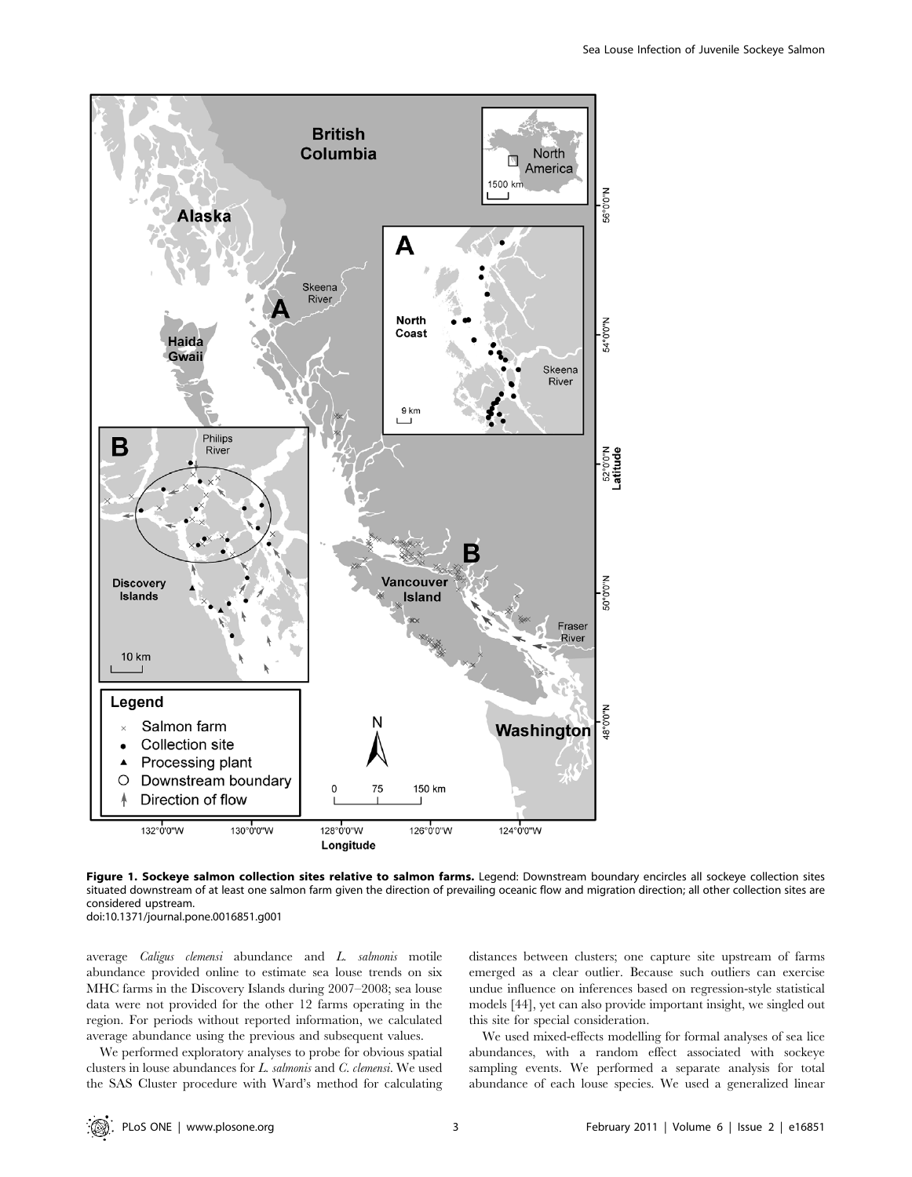

Figure 1. Sockeye salmon collection sites relative to salmon farms. Legend: Downstream boundary encircles all sockeye collection sites situated downstream of at least one salmon farm given the direction of prevailing oceanic flow and migration direction; all other collection sites are considered upstream. doi:10.1371/journal.pone.0016851.g001

average Caligus clemensi abundance and L. salmonis motile abundance provided online to estimate sea louse trends on six MHC farms in the Discovery Islands during 2007–2008; sea louse data were not provided for the other 12 farms operating in the region. For periods without reported information, we calculated average abundance using the previous and subsequent values.

We performed exploratory analyses to probe for obvious spatial clusters in louse abundances for L. salmonis and C. clemensi. We used the SAS Cluster procedure with Ward's method for calculating distances between clusters; one capture site upstream of farms emerged as a clear outlier. Because such outliers can exercise undue influence on inferences based on regression-style statistical models [44], yet can also provide important insight, we singled out this site for special consideration.

We used mixed-effects modelling for formal analyses of sea lice abundances, with a random effect associated with sockeye sampling events. We performed a separate analysis for total abundance of each louse species. We used a generalized linear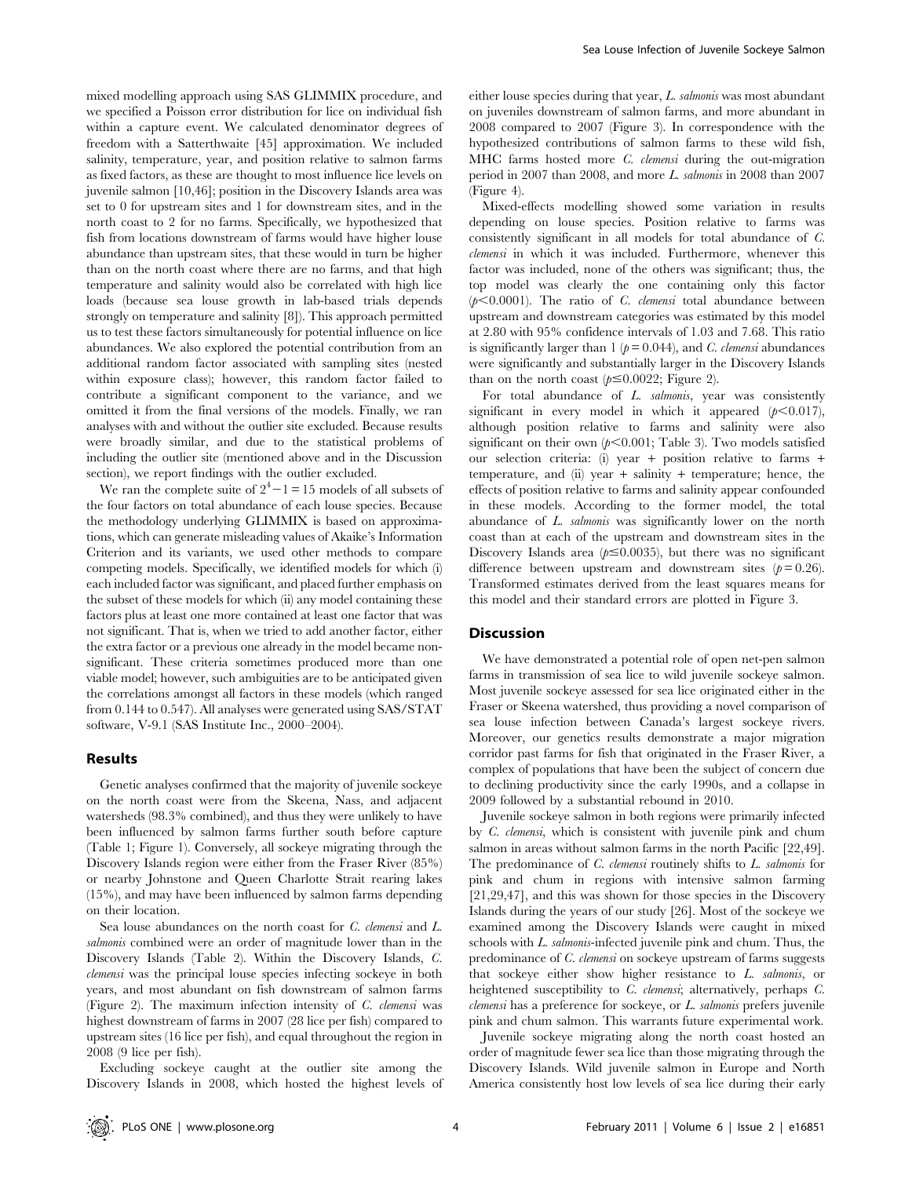mixed modelling approach using SAS GLIMMIX procedure, and we specified a Poisson error distribution for lice on individual fish within a capture event. We calculated denominator degrees of freedom with a Satterthwaite [45] approximation. We included salinity, temperature, year, and position relative to salmon farms as fixed factors, as these are thought to most influence lice levels on juvenile salmon [10,46]; position in the Discovery Islands area was set to 0 for upstream sites and 1 for downstream sites, and in the north coast to 2 for no farms. Specifically, we hypothesized that fish from locations downstream of farms would have higher louse abundance than upstream sites, that these would in turn be higher than on the north coast where there are no farms, and that high temperature and salinity would also be correlated with high lice loads (because sea louse growth in lab-based trials depends strongly on temperature and salinity [8]). This approach permitted us to test these factors simultaneously for potential influence on lice abundances. We also explored the potential contribution from an additional random factor associated with sampling sites (nested within exposure class); however, this random factor failed to contribute a significant component to the variance, and we omitted it from the final versions of the models. Finally, we ran analyses with and without the outlier site excluded. Because results were broadly similar, and due to the statistical problems of including the outlier site (mentioned above and in the Discussion section), we report findings with the outlier excluded.

We ran the complete suite of  $2^4 - 1 = 15$  models of all subsets of the four factors on total abundance of each louse species. Because the methodology underlying GLIMMIX is based on approximations, which can generate misleading values of Akaike's Information Criterion and its variants, we used other methods to compare competing models. Specifically, we identified models for which (i) each included factor was significant, and placed further emphasis on the subset of these models for which (ii) any model containing these factors plus at least one more contained at least one factor that was not significant. That is, when we tried to add another factor, either the extra factor or a previous one already in the model became nonsignificant. These criteria sometimes produced more than one viable model; however, such ambiguities are to be anticipated given the correlations amongst all factors in these models (which ranged from 0.144 to 0.547). All analyses were generated using SAS/STAT software, V-9.1 (SAS Institute Inc., 2000–2004).

#### Results

Genetic analyses confirmed that the majority of juvenile sockeye on the north coast were from the Skeena, Nass, and adjacent watersheds (98.3% combined), and thus they were unlikely to have been influenced by salmon farms further south before capture (Table 1; Figure 1). Conversely, all sockeye migrating through the Discovery Islands region were either from the Fraser River (85%) or nearby Johnstone and Queen Charlotte Strait rearing lakes (15%), and may have been influenced by salmon farms depending on their location.

Sea louse abundances on the north coast for C. clemensi and L. salmonis combined were an order of magnitude lower than in the Discovery Islands (Table 2). Within the Discovery Islands, C. clemensi was the principal louse species infecting sockeye in both years, and most abundant on fish downstream of salmon farms (Figure 2). The maximum infection intensity of C. clemensi was highest downstream of farms in 2007 (28 lice per fish) compared to upstream sites (16 lice per fish), and equal throughout the region in 2008 (9 lice per fish).

Excluding sockeye caught at the outlier site among the Discovery Islands in 2008, which hosted the highest levels of either louse species during that year, L. salmonis was most abundant on juveniles downstream of salmon farms, and more abundant in 2008 compared to 2007 (Figure 3). In correspondence with the hypothesized contributions of salmon farms to these wild fish, MHC farms hosted more C. clemensi during the out-migration period in 2007 than 2008, and more L. salmonis in 2008 than 2007 (Figure 4).

Mixed-effects modelling showed some variation in results depending on louse species. Position relative to farms was consistently significant in all models for total abundance of C. clemensi in which it was included. Furthermore, whenever this factor was included, none of the others was significant; thus, the top model was clearly the one containing only this factor  $(p<0.0001)$ . The ratio of *C. clemensi* total abundance between upstream and downstream categories was estimated by this model at 2.80 with 95% confidence intervals of 1.03 and 7.68. This ratio is significantly larger than 1 ( $p = 0.044$ ), and *C. clemensi* abundances were significantly and substantially larger in the Discovery Islands than on the north coast  $(p \le 0.0022;$  Figure 2).

For total abundance of L. salmonis, year was consistently significant in every model in which it appeared  $(p<0.017)$ , although position relative to farms and salinity were also significant on their own  $(p<0.001;$  Table 3). Two models satisfied our selection criteria: (i) year + position relative to farms + temperature, and  $(ii)$  year  $+$  salinity  $+$  temperature; hence, the effects of position relative to farms and salinity appear confounded in these models. According to the former model, the total abundance of L. salmonis was significantly lower on the north coast than at each of the upstream and downstream sites in the Discovery Islands area ( $p \le 0.0035$ ), but there was no significant difference between upstream and downstream sites  $(p= 0.26)$ . Transformed estimates derived from the least squares means for this model and their standard errors are plotted in Figure 3.

#### **Discussion**

We have demonstrated a potential role of open net-pen salmon farms in transmission of sea lice to wild juvenile sockeye salmon. Most juvenile sockeye assessed for sea lice originated either in the Fraser or Skeena watershed, thus providing a novel comparison of sea louse infection between Canada's largest sockeye rivers. Moreover, our genetics results demonstrate a major migration corridor past farms for fish that originated in the Fraser River, a complex of populations that have been the subject of concern due to declining productivity since the early 1990s, and a collapse in 2009 followed by a substantial rebound in 2010.

Juvenile sockeye salmon in both regions were primarily infected by C. clemensi, which is consistent with juvenile pink and chum salmon in areas without salmon farms in the north Pacific [22,49]. The predominance of C. clemensi routinely shifts to L. salmonis for pink and chum in regions with intensive salmon farming [21,29,47], and this was shown for those species in the Discovery Islands during the years of our study [26]. Most of the sockeye we examined among the Discovery Islands were caught in mixed schools with L. salmonis-infected juvenile pink and chum. Thus, the predominance of C. clemensi on sockeye upstream of farms suggests that sockeye either show higher resistance to L. salmonis, or heightened susceptibility to C. clemensi; alternatively, perhaps C.  $elements$  has a preference for sockeye, or  $L.$  salmonis prefers juvenile pink and chum salmon. This warrants future experimental work.

Juvenile sockeye migrating along the north coast hosted an order of magnitude fewer sea lice than those migrating through the Discovery Islands. Wild juvenile salmon in Europe and North America consistently host low levels of sea lice during their early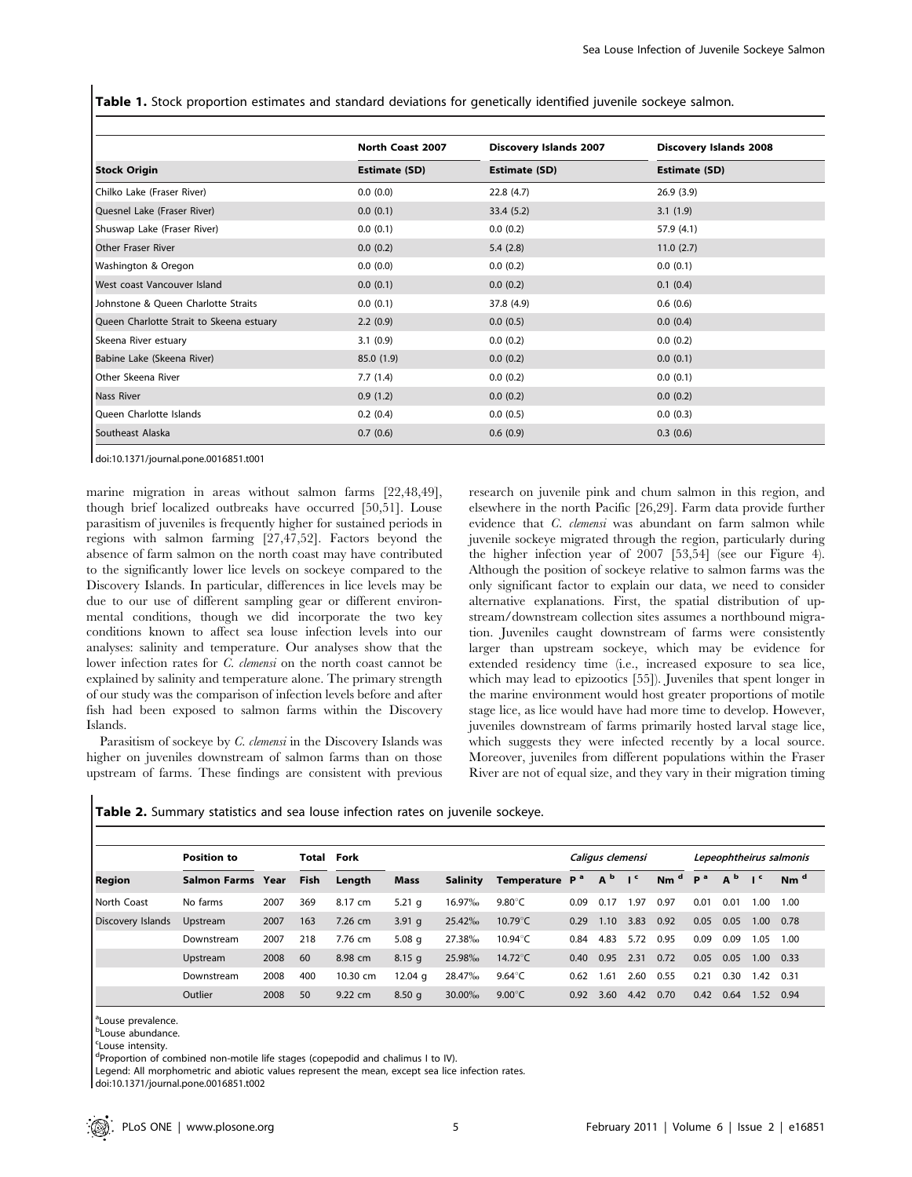Table 1. Stock proportion estimates and standard deviations for genetically identified juvenile sockeye salmon.

|                                          | North Coast 2007     | Discovery Islands 2007 | Discovery Islands 2008 |  |  |
|------------------------------------------|----------------------|------------------------|------------------------|--|--|
| <b>Stock Origin</b>                      | <b>Estimate (SD)</b> | Estimate (SD)          | Estimate (SD)          |  |  |
| Chilko Lake (Fraser River)               | 0.0(0.0)             | 22.8(4.7)              | 26.9(3.9)              |  |  |
| Quesnel Lake (Fraser River)              | 0.0(0.1)             | 33.4(5.2)              | 3.1(1.9)               |  |  |
| Shuswap Lake (Fraser River)              | 0.0(0.1)             | 0.0(0.2)               | 57.9 (4.1)             |  |  |
| <b>Other Fraser River</b>                | 0.0(0.2)             | 5.4(2.8)               | 11.0(2.7)              |  |  |
| Washington & Oregon                      | 0.0(0.0)             | 0.0(0.2)               | 0.0(0.1)               |  |  |
| West coast Vancouver Island              | 0.0(0.1)             | 0.0(0.2)               | 0.1(0.4)               |  |  |
| Johnstone & Queen Charlotte Straits      | 0.0(0.1)             | 37.8 (4.9)             | 0.6(0.6)               |  |  |
| Queen Charlotte Strait to Skeena estuary | 2.2(0.9)             | 0.0(0.5)               | 0.0(0.4)               |  |  |
| Skeena River estuary                     | 3.1(0.9)             | 0.0(0.2)               | 0.0(0.2)               |  |  |
| Babine Lake (Skeena River)               | 85.0(1.9)            | 0.0(0.2)               | 0.0(0.1)               |  |  |
| Other Skeena River                       | 7.7(1.4)             | 0.0(0.2)               | 0.0(0.1)               |  |  |
| <b>Nass River</b>                        | 0.9(1.2)             | 0.0(0.2)               | 0.0(0.2)               |  |  |
| Queen Charlotte Islands                  | 0.2(0.4)             | 0.0(0.5)               | 0.0(0.3)               |  |  |
| Southeast Alaska                         | 0.7(0.6)             | 0.6(0.9)               | 0.3(0.6)               |  |  |

doi:10.1371/journal.pone.0016851.t001

marine migration in areas without salmon farms [22,48,49], though brief localized outbreaks have occurred [50,51]. Louse parasitism of juveniles is frequently higher for sustained periods in regions with salmon farming [27,47,52]. Factors beyond the absence of farm salmon on the north coast may have contributed to the significantly lower lice levels on sockeye compared to the Discovery Islands. In particular, differences in lice levels may be due to our use of different sampling gear or different environmental conditions, though we did incorporate the two key conditions known to affect sea louse infection levels into our analyses: salinity and temperature. Our analyses show that the lower infection rates for C. *clemensi* on the north coast cannot be explained by salinity and temperature alone. The primary strength of our study was the comparison of infection levels before and after fish had been exposed to salmon farms within the Discovery Islands.

Parasitism of sockeye by C. clemensi in the Discovery Islands was higher on juveniles downstream of salmon farms than on those upstream of farms. These findings are consistent with previous research on juvenile pink and chum salmon in this region, and elsewhere in the north Pacific [26,29]. Farm data provide further evidence that *C. clemensi* was abundant on farm salmon while juvenile sockeye migrated through the region, particularly during the higher infection year of 2007 [53,54] (see our Figure 4). Although the position of sockeye relative to salmon farms was the only significant factor to explain our data, we need to consider alternative explanations. First, the spatial distribution of upstream/downstream collection sites assumes a northbound migration. Juveniles caught downstream of farms were consistently larger than upstream sockeye, which may be evidence for extended residency time (i.e., increased exposure to sea lice, which may lead to epizootics [55]). Juveniles that spent longer in the marine environment would host greater proportions of motile stage lice, as lice would have had more time to develop. However, juveniles downstream of farms primarily hosted larval stage lice, which suggests they were infected recently by a local source. Moreover, juveniles from different populations within the Fraser River are not of equal size, and they vary in their migration timing

|  |  | Table 2. Summary statistics and sea louse infection rates on juvenile sockeye. |  |  |  |  |  |  |  |  |  |
|--|--|--------------------------------------------------------------------------------|--|--|--|--|--|--|--|--|--|
|--|--|--------------------------------------------------------------------------------|--|--|--|--|--|--|--|--|--|

|                   | <b>Position to</b>  | Year | <b>Total Fork</b><br><b>Fish</b> |          | <b>Mass</b> | <b>Salinity</b> | Temperature       | Caligus clemensi |       |                           |                                | Lepeophtheirus salmonis |       |                           |                 |
|-------------------|---------------------|------|----------------------------------|----------|-------------|-----------------|-------------------|------------------|-------|---------------------------|--------------------------------|-------------------------|-------|---------------------------|-----------------|
| <b>Region</b>     | <b>Salmon Farms</b> |      |                                  | Length   |             |                 |                   | P <sup>a</sup>   | $A^b$ | $\mathsf{I}^{\mathsf{c}}$ | Nm <sup>d</sup> P <sup>a</sup> |                         | $A^b$ | $\mathsf{I}^{\mathsf{c}}$ | Nm <sup>d</sup> |
| North Coast       | No farms            | 2007 | 369                              | 8.17 cm  | 5.21 $q$    | 16.97%          | 9.80 $^{\circ}$ C | 0.09             | 0.17  | 1.97                      | 0.97                           | 0.01                    | 0.01  | 1.00                      | 1.00            |
| Discovery Islands | Upstream            | 2007 | 163                              | 7.26 cm  | 3.91 g      | 25.42%          | 10.79 $\degree$ C | 0.29             | 1.10  | 3.83                      | 0.92                           | 0.05                    | 0.05  | 1.00                      | 0.78            |
|                   | Downstream          | 2007 | 218                              | 7.76 cm  | 5.08q       | 27.38‰          | 10.94 $\degree$ C | 0.84             | 4.83  | 5.72                      | 0.95                           | 0.09                    | 0.09  | 1.05                      | 1.00            |
|                   | Upstream            | 2008 | 60                               | 8.98 cm  | 8.15q       | 25.98‰          | 14.72°C           | 0.40             | 0.95  | 2.31                      | 0.72                           | 0.05                    | 0.05  | 1.00                      | 0.33            |
|                   | Downstream          | 2008 | 400                              | 10.30 cm | 12.04 $q$   | 28.47‰          | 9.64 $\degree$ C  | 0.62             | .61   | 2.60                      | 0.55                           | 0.21                    | 0.30  | 1.42                      | 0.31            |
|                   | Outlier             | 2008 | 50                               | 9.22 cm  | 8.50q       | 30.00‰          | 9.00 $\degree$ C  | 0.92             | 3.60  | 4.42                      | 0.70                           | 0.42                    | 0.64  | 1.52                      | 0.94            |

<sup>a</sup>Louse prevalence.

b Louse abundance.

<sup>c</sup>Louse intensity.

<sup>d</sup>Proportion of combined non-motile life stages (copepodid and chalimus I to IV).

Legend: All morphometric and abiotic values represent the mean, except sea lice infection rates.

doi:10.1371/journal.pone.0016851.t002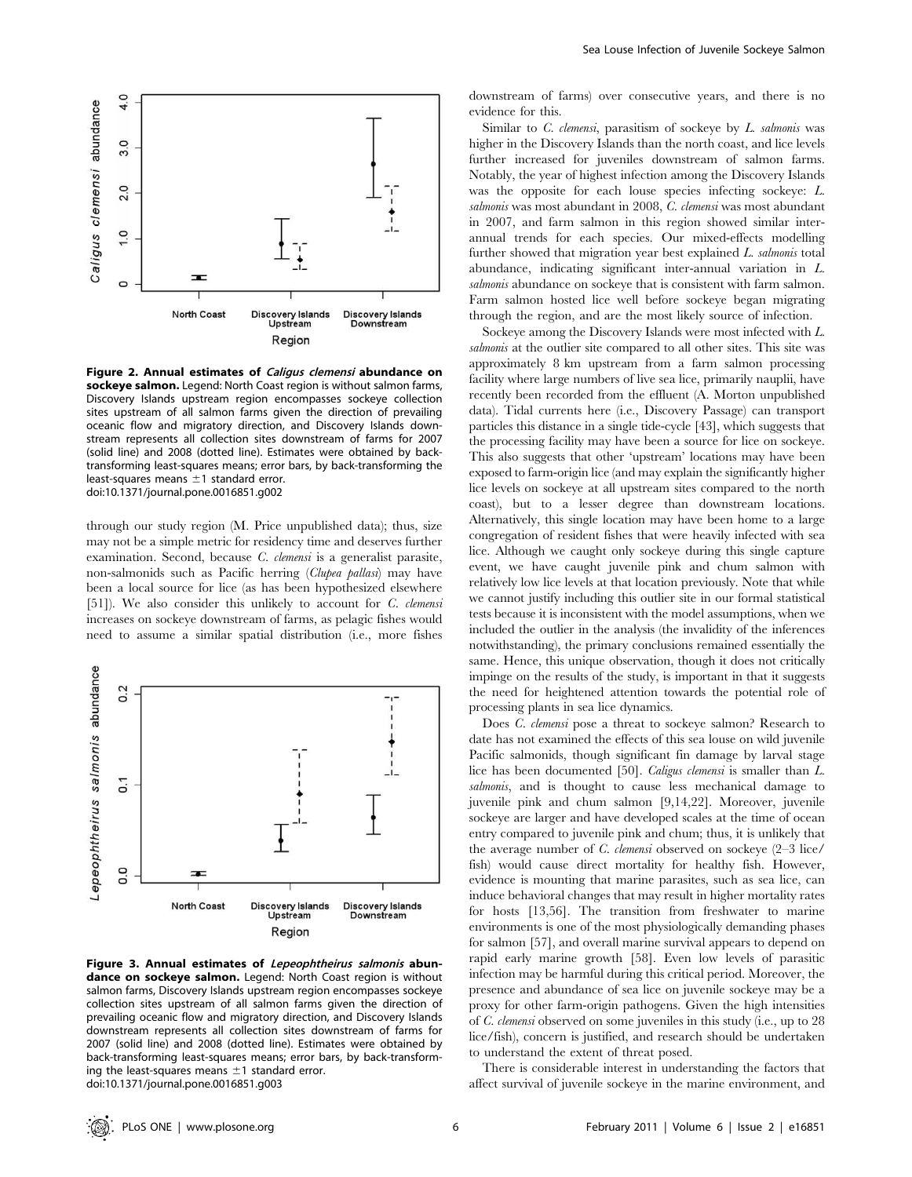

Figure 2. Annual estimates of Caligus clemensi abundance on sockeye salmon. Legend: North Coast region is without salmon farms, Discovery Islands upstream region encompasses sockeye collection sites upstream of all salmon farms given the direction of prevailing oceanic flow and migratory direction, and Discovery Islands downstream represents all collection sites downstream of farms for 2007 (solid line) and 2008 (dotted line). Estimates were obtained by backtransforming least-squares means; error bars, by back-transforming the least-squares means  $\pm 1$  standard error. doi:10.1371/journal.pone.0016851.g002

through our study region (M. Price unpublished data); thus, size may not be a simple metric for residency time and deserves further examination. Second, because C. clemensi is a generalist parasite, non-salmonids such as Pacific herring (*Clupea pallasi*) may have been a local source for lice (as has been hypothesized elsewhere [51]). We also consider this unlikely to account for C. clemensi increases on sockeye downstream of farms, as pelagic fishes would need to assume a similar spatial distribution (i.e., more fishes



Figure 3. Annual estimates of Lepeophtheirus salmonis abundance on sockeye salmon. Legend: North Coast region is without salmon farms, Discovery Islands upstream region encompasses sockeye collection sites upstream of all salmon farms given the direction of prevailing oceanic flow and migratory direction, and Discovery Islands downstream represents all collection sites downstream of farms for 2007 (solid line) and 2008 (dotted line). Estimates were obtained by back-transforming least-squares means; error bars, by back-transforming the least-squares means  $\pm 1$  standard error. doi:10.1371/journal.pone.0016851.g003

downstream of farms) over consecutive years, and there is no evidence for this.

Similar to C. clemensi, parasitism of sockeye by L. salmonis was higher in the Discovery Islands than the north coast, and lice levels further increased for juveniles downstream of salmon farms. Notably, the year of highest infection among the Discovery Islands was the opposite for each louse species infecting sockeye: L. salmonis was most abundant in 2008, C. clemensi was most abundant in 2007, and farm salmon in this region showed similar interannual trends for each species. Our mixed-effects modelling further showed that migration year best explained L. salmonis total abundance, indicating significant inter-annual variation in L. salmonis abundance on sockeye that is consistent with farm salmon. Farm salmon hosted lice well before sockeye began migrating through the region, and are the most likely source of infection.

Sockeye among the Discovery Islands were most infected with L. salmonis at the outlier site compared to all other sites. This site was approximately 8 km upstream from a farm salmon processing facility where large numbers of live sea lice, primarily nauplii, have recently been recorded from the effluent (A. Morton unpublished data). Tidal currents here (i.e., Discovery Passage) can transport particles this distance in a single tide-cycle [43], which suggests that the processing facility may have been a source for lice on sockeye. This also suggests that other 'upstream' locations may have been exposed to farm-origin lice (and may explain the significantly higher lice levels on sockeye at all upstream sites compared to the north coast), but to a lesser degree than downstream locations. Alternatively, this single location may have been home to a large congregation of resident fishes that were heavily infected with sea lice. Although we caught only sockeye during this single capture event, we have caught juvenile pink and chum salmon with relatively low lice levels at that location previously. Note that while we cannot justify including this outlier site in our formal statistical tests because it is inconsistent with the model assumptions, when we included the outlier in the analysis (the invalidity of the inferences notwithstanding), the primary conclusions remained essentially the same. Hence, this unique observation, though it does not critically impinge on the results of the study, is important in that it suggests the need for heightened attention towards the potential role of processing plants in sea lice dynamics.

Does C. clemensi pose a threat to sockeye salmon? Research to date has not examined the effects of this sea louse on wild juvenile Pacific salmonids, though significant fin damage by larval stage lice has been documented [50]. Caligus clemensi is smaller than L. salmonis, and is thought to cause less mechanical damage to juvenile pink and chum salmon [9,14,22]. Moreover, juvenile sockeye are larger and have developed scales at the time of ocean entry compared to juvenile pink and chum; thus, it is unlikely that the average number of C. clemensi observed on sockeye (2–3 lice/ fish) would cause direct mortality for healthy fish. However, evidence is mounting that marine parasites, such as sea lice, can induce behavioral changes that may result in higher mortality rates for hosts [13,56]. The transition from freshwater to marine environments is one of the most physiologically demanding phases for salmon [57], and overall marine survival appears to depend on rapid early marine growth [58]. Even low levels of parasitic infection may be harmful during this critical period. Moreover, the presence and abundance of sea lice on juvenile sockeye may be a proxy for other farm-origin pathogens. Given the high intensities of C. clemensi observed on some juveniles in this study (i.e., up to 28 lice/fish), concern is justified, and research should be undertaken to understand the extent of threat posed.

There is considerable interest in understanding the factors that affect survival of juvenile sockeye in the marine environment, and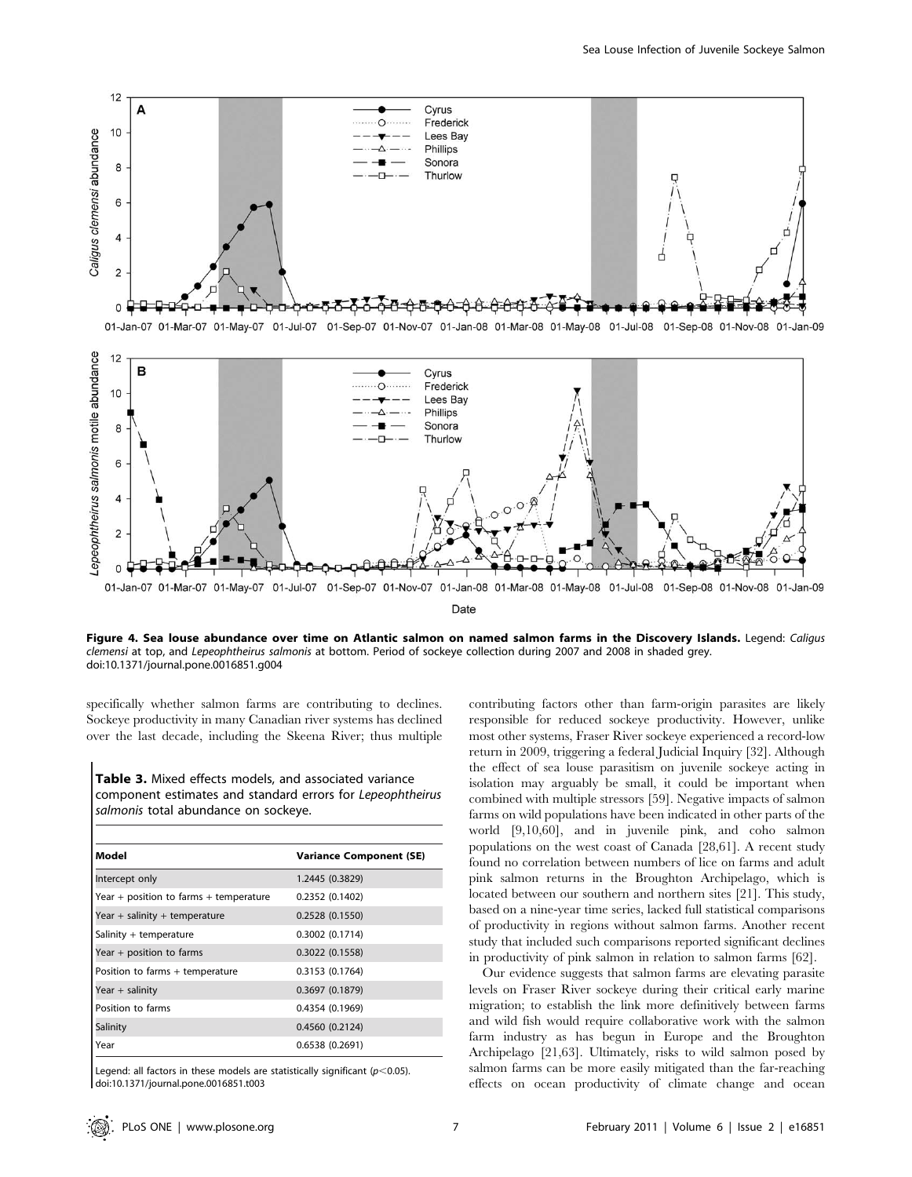



Date

Figure 4. Sea louse abundance over time on Atlantic salmon on named salmon farms in the Discovery Islands. Legend: Caligus clemensi at top, and Lepeophtheirus salmonis at bottom. Period of sockeye collection during 2007 and 2008 in shaded grey. doi:10.1371/journal.pone.0016851.g004

specifically whether salmon farms are contributing to declines. Sockeye productivity in many Canadian river systems has declined over the last decade, including the Skeena River; thus multiple

Table 3. Mixed effects models, and associated variance component estimates and standard errors for Lepeophtheirus salmonis total abundance on sockeye.

| Model                                  | <b>Variance Component (SE)</b> |
|----------------------------------------|--------------------------------|
| Intercept only                         | 1.2445 (0.3829)                |
| Year + position to farms + temperature | 0.2352 (0.1402)                |
| Year + salinity + temperature          | 0.2528 (0.1550)                |
| Salinity + temperature                 | 0.3002 (0.1714)                |
| Year $+$ position to farms             | 0.3022 (0.1558)                |
| Position to farms + temperature        | 0.3153 (0.1764)                |
| Year $+$ salinity                      | 0.3697(0.1879)                 |
| Position to farms                      | 0.4354 (0.1969)                |
| Salinity                               | 0.4560 (0.2124)                |
| Year                                   | 0.6538(0.2691)                 |
|                                        |                                |

Legend: all factors in these models are statistically significant ( $p$ <0.05). doi:10.1371/journal.pone.0016851.t003

contributing factors other than farm-origin parasites are likely responsible for reduced sockeye productivity. However, unlike most other systems, Fraser River sockeye experienced a record-low return in 2009, triggering a federal Judicial Inquiry [32]. Although the effect of sea louse parasitism on juvenile sockeye acting in isolation may arguably be small, it could be important when combined with multiple stressors [59]. Negative impacts of salmon farms on wild populations have been indicated in other parts of the world [9,10,60], and in juvenile pink, and coho salmon populations on the west coast of Canada [28,61]. A recent study found no correlation between numbers of lice on farms and adult pink salmon returns in the Broughton Archipelago, which is located between our southern and northern sites [21]. This study, based on a nine-year time series, lacked full statistical comparisons of productivity in regions without salmon farms. Another recent study that included such comparisons reported significant declines in productivity of pink salmon in relation to salmon farms [62].

Our evidence suggests that salmon farms are elevating parasite levels on Fraser River sockeye during their critical early marine migration; to establish the link more definitively between farms and wild fish would require collaborative work with the salmon farm industry as has begun in Europe and the Broughton Archipelago [21,63]. Ultimately, risks to wild salmon posed by salmon farms can be more easily mitigated than the far-reaching effects on ocean productivity of climate change and ocean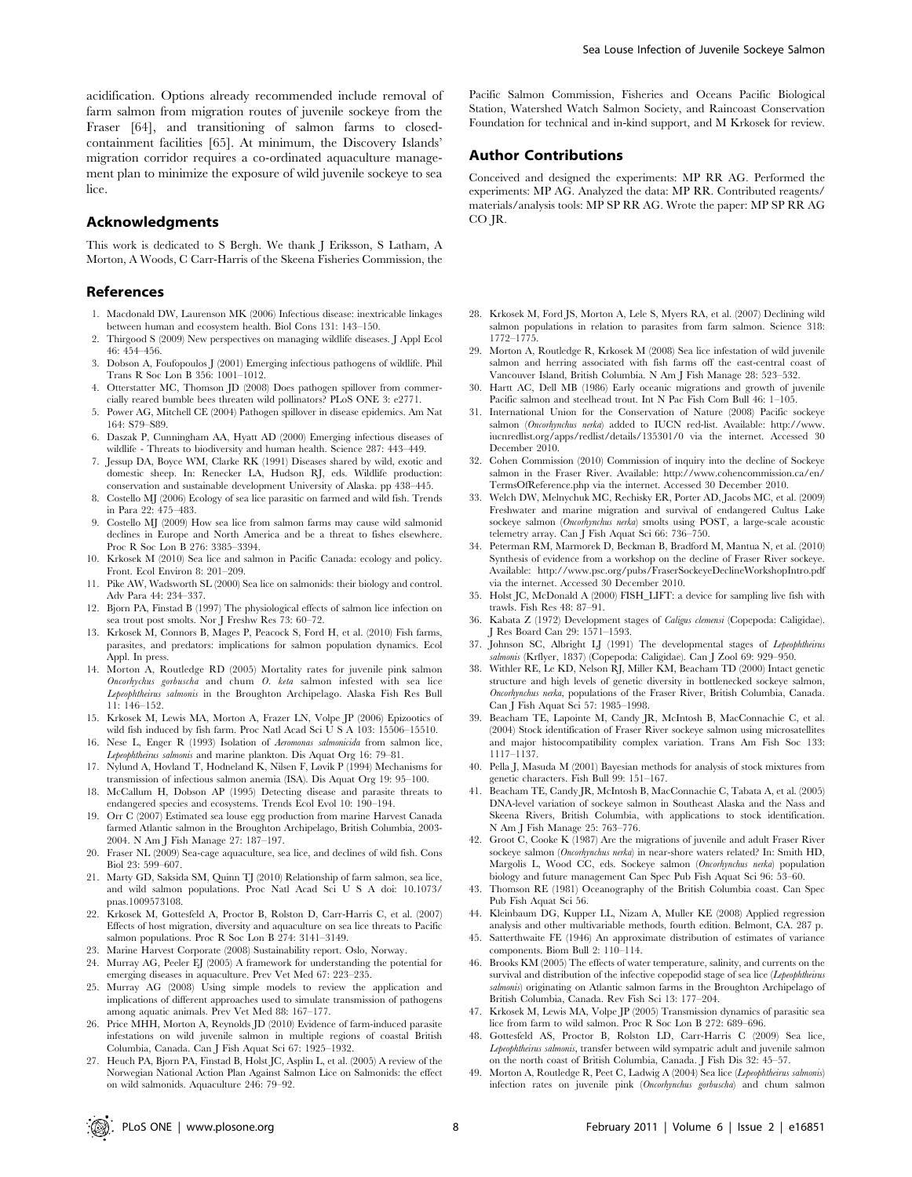acidification. Options already recommended include removal of farm salmon from migration routes of juvenile sockeye from the Fraser [64], and transitioning of salmon farms to closedcontainment facilities [65]. At minimum, the Discovery Islands' migration corridor requires a co-ordinated aquaculture management plan to minimize the exposure of wild juvenile sockeye to sea lice.

#### Acknowledgments

This work is dedicated to S Bergh. We thank J Eriksson, S Latham, A Morton, A Woods, C Carr-Harris of the Skeena Fisheries Commission, the

#### References

- 1. Macdonald DW, Laurenson MK (2006) Infectious disease: inextricable linkages between human and ecosystem health. Biol Cons 131: 143–150.
- 2. Thirgood S (2009) New perspectives on managing wildlife diseases. J Appl Ecol 46: 454–456.
- 3. Dobson A, Foufopoulos J (2001) Emerging infectious pathogens of wildlife. Phil Trans R Soc Lon B 356: 1001–1012.
- 4. Otterstatter MC, Thomson JD (2008) Does pathogen spillover from commercially reared bumble bees threaten wild pollinators? PLoS ONE 3: e2771.
- 5. Power AG, Mitchell CE (2004) Pathogen spillover in disease epidemics. Am Nat 164: S79–S89.
- 6. Daszak P, Cunningham AA, Hyatt AD (2000) Emerging infectious diseases of wildlife - Threats to biodiversity and human health. Science 287: 443–449.
- 7. Jessup DA, Boyce WM, Clarke RK (1991) Diseases shared by wild, exotic and domestic sheep. In: Renecker LA, Hudson RJ, eds. Wildlife production: conservation and sustainable development University of Alaska. pp 438–445.
- 8. Costello MJ (2006) Ecology of sea lice parasitic on farmed and wild fish. Trends in Para 22: 475–483.
- 9. Costello MJ (2009) How sea lice from salmon farms may cause wild salmonid declines in Europe and North America and be a threat to fishes elsewhere. Proc R Soc Lon B 276: 3385–3394.
- 10. Krkosek M (2010) Sea lice and salmon in Pacific Canada: ecology and policy. Front. Ecol Environ 8: 201–209.
- 11. Pike AW, Wadsworth SL (2000) Sea lice on salmonids: their biology and control. Adv Para 44: 234–337.
- 12. Bjorn PA, Finstad B (1997) The physiological effects of salmon lice infection on sea trout post smolts. Nor J Freshw Res 73: 60–72.
- 13. Krkosek M, Connors B, Mages P, Peacock S, Ford H, et al. (2010) Fish farms, parasites, and predators: implications for salmon population dynamics. Ecol Appl. In press
- 14. Morton A, Routledge RD (2005) Mortality rates for juvenile pink salmon Oncorhychus gorbuscha and chum O. keta salmon infested with sea lice Lepeophtheirus salmonis in the Broughton Archipelago. Alaska Fish Res Bull 11: 146–152.
- 15. Krkosek M, Lewis MA, Morton A, Frazer LN, Volpe JP (2006) Epizootics of wild fish induced by fish farm. Proc Natl Acad Sci U S A 103: 15506–15510.
- 16. Nese L, Enger R (1993) Isolation of Aeromonas salmonicida from salmon lice, Lepeophtheirus salmonis and marine plankton. Dis Aquat Org 16: 79–81.
- 17. Nylund A, Hovland T, Hodneland K, Nilsen F, Løvik P (1994) Mechanisms for transmission of infectious salmon anemia (ISA). Dis Aquat Org 19: 95–100.
- 18. McCallum H, Dobson AP (1995) Detecting disease and parasite threats to endangered species and ecosystems. Trends Ecol Evol 10: 190–194.
- 19. Orr C (2007) Estimated sea louse egg production from marine Harvest Canada farmed Atlantic salmon in the Broughton Archipelago, British Columbia, 2003- 2004. N Am J Fish Manage 27: 187–197.
- 20. Fraser NL (2009) Sea-cage aquaculture, sea lice, and declines of wild fish. Cons Biol 23: 599–607.
- 21. Marty GD, Saksida SM, Quinn TJ (2010) Relationship of farm salmon, sea lice, and wild salmon populations. Proc Natl Acad Sci U S A doi: 10.1073/ pnas.1009573108.
- 22. Krkosek M, Gottesfeld A, Proctor B, Rolston D, Carr-Harris C, et al. (2007) Effects of host migration, diversity and aquaculture on sea lice threats to Pacific salmon populations. Proc R Soc Lon B 274: 3141–3149.
- 23. Marine Harvest Corporate (2008) Sustainability report. Oslo, Norway.
- 24. Murray AG, Peeler EJ (2005) A framework for understanding the potential for emerging diseases in aquaculture. Prev Vet Med 67: 223–235.
- 25. Murray AG (2008) Using simple models to review the application and implications of different approaches used to simulate transmission of pathogens among aquatic animals. Prev Vet Med 88: 167–177.
- 26. Price MHH, Morton A, Reynolds JD (2010) Evidence of farm-induced parasite infestations on wild juvenile salmon in multiple regions of coastal British Columbia, Canada. Can J Fish Aquat Sci 67: 1925–1932.
- 27. Heuch PA, Bjorn PA, Finstad B, Holst JC, Asplin L, et al. (2005) A review of the Norwegian National Action Plan Against Salmon Lice on Salmonids: the effect on wild salmonids. Aquaculture 246: 79–92.

Pacific Salmon Commission, Fisheries and Oceans Pacific Biological Station, Watershed Watch Salmon Society, and Raincoast Conservation Foundation for technical and in-kind support, and M Krkosek for review.

### Author Contributions

Conceived and designed the experiments: MP RR AG. Performed the experiments: MP AG. Analyzed the data: MP RR. Contributed reagents/ materials/analysis tools: MP SP RR AG. Wrote the paper: MP SP RR AG CO JR.

- 28. Krkosek M, Ford JS, Morton A, Lele S, Myers RA, et al. (2007) Declining wild salmon populations in relation to parasites from farm salmon. Science 318: 1772–1775.
- 29. Morton A, Routledge R, Krkosek M (2008) Sea lice infestation of wild juvenile salmon and herring associated with fish farms off the east-central coast of Vancouver Island, British Columbia. N Am J Fish Manage 28: 523–532.
- 30. Hartt AC, Dell MB (1986) Early oceanic migrations and growth of juvenile Pacific salmon and steelhead trout. Int N Pac Fish Com Bull 46: 1–105.
- 31. International Union for the Conservation of Nature (2008) Pacific sockeye salmon (Oncorhynchus nerka) added to IUCN red-list. Available: http://www. iucnredlist.org/apps/redlist/details/135301/0 via the internet. Accessed 30 December 2010.
- 32. Cohen Commission (2010) Commission of inquiry into the decline of Sockeye salmon in the Fraser River. Available: http://www.cohencommission.ca/en/ TermsOfReference.php via the internet. Accessed 30 December 2010.
- 33. Welch DW, Melnychuk MC, Rechisky ER, Porter AD, Jacobs MC, et al. (2009) Freshwater and marine migration and survival of endangered Cultus Lake sockeye salmon (Oncorhynchus nerka) smolts using POST, a large-scale acoustic telemetry array. Can J Fish Aquat Sci 66: 736–750.
- 34. Peterman RM, Marmorek D, Beckman B, Bradford M, Mantua N, et al. (2010) Synthesis of evidence from a workshop on the decline of Fraser River sockeye. Available: http://www.psc.org/pubs/FraserSockeyeDeclineWorkshopIntro.pdf via the internet. Accessed 30 December 2010.
- 35. Holst JC, McDonald A (2000) FISH\_LIFT: a device for sampling live fish with trawls. Fish Res 48: 87–91.
- 36. Kabata Z (1972) Development stages of Caligus clemensi (Copepoda: Caligidae). J Res Board Can 29: 1571–1593.
- 37. Johnson SC, Albright LJ (1991) The developmental stages of Lepeophtheirus salmonis (Krflyer, 1837) (Copepoda: Caligidae). Can J Zool 69: 929–950.
- 38. Withler RE, Le KD, Nelson RJ, Miller KM, Beacham TD (2000) Intact genetic structure and high levels of genetic diversity in bottlenecked sockeye salmon, Oncorhynchus nerka, populations of the Fraser River, British Columbia, Canada. Can J Fish Aquat Sci 57: 1985–1998.
- 39. Beacham TE, Lapointe M, Candy JR, McIntosh B, MacConnachie C, et al. (2004) Stock identification of Fraser River sockeye salmon using microsatellites and major histocompatibility complex variation. Trans Am Fish Soc 133: 1117–1137.
- 40. Pella J, Masuda M (2001) Bayesian methods for analysis of stock mixtures from genetic characters. Fish Bull 99: 151–167.
- 41. Beacham TE, Candy JR, McIntosh B, MacConnachie C, Tabata A, et al. (2005) DNA-level variation of sockeye salmon in Southeast Alaska and the Nass and Skeena Rivers, British Columbia, with applications to stock identification. N Am J Fish Manage 25: 763–776.
- 42. Groot C, Cooke K (1987) Are the migrations of juvenile and adult Fraser River sockeye salmon (Oncorhynchus nerka) in near-shore waters related? In: Smith HD, Margolis L, Wood CC, eds. Sockeye salmon (Oncorhynchus nerka) population biology and future management Can Spec Pub Fish Aquat Sci 96: 53–60.
- 43. Thomson RE (1981) Oceanography of the British Columbia coast. Can Spec Pub Fish Aquat Sci 56.
- 44. Kleinbaum DG, Kupper LL, Nizam A, Muller KE (2008) Applied regression analysis and other multivariable methods, fourth edition. Belmont, CA. 287 p.
- 45. Satterthwaite FE (1946) An approximate distribution of estimates of variance components. Biom Bull 2: 110–114.
- 46. Brooks KM (2005) The effects of water temperature, salinity, and currents on the survival and distribution of the infective copepodid stage of sea lice (Lepeophtheirus salmonis) originating on Atlantic salmon farms in the Broughton Archipelago of British Columbia, Canada. Rev Fish Sci 13: 177–204.
- 47. Krkosek M, Lewis MA, Volpe JP (2005) Transmission dynamics of parasitic sea lice from farm to wild salmon. Proc R Soc Lon B 272: 689–696.
- 48. Gottesfeld AS, Proctor B, Rolston LD, Carr-Harris C (2009) Sea lice, Lepeophtheirus salmonis, transfer between wild sympatric adult and juvenile salmon on the north coast of British Columbia, Canada. J Fish Dis 32: 45–57.
- 49. Morton A, Routledge R, Peet C, Ladwig A (2004) Sea lice (Lepeophtheirus salmonis) infection rates on juvenile pink (Oncorhynchus gorbuscha) and chum salmon